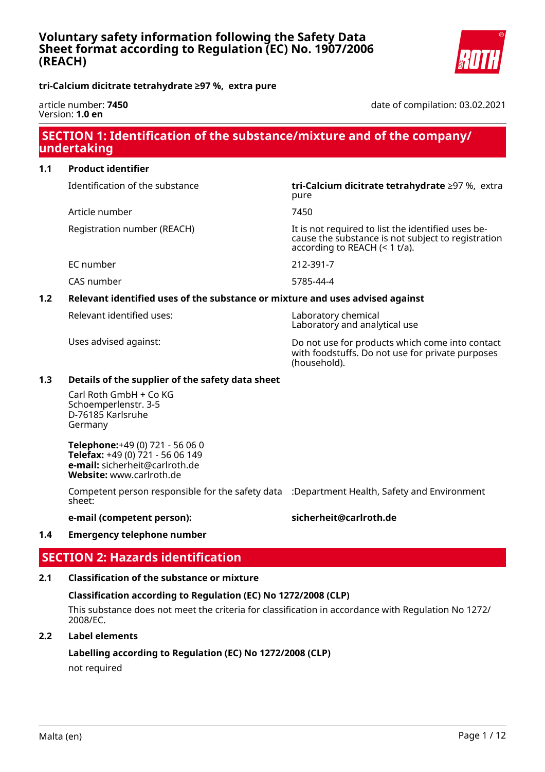

**tri-Calcium dicitrate tetrahydrate ≥97 %, extra pure**

#### article number: **7450** Version: **1.0 en**

date of compilation: 03.02.2021

# **SECTION 1: Identification of the substance/mixture and of the company/ undertaking**

#### **1.1 Product identifier**

Identification of the substance **tri-Calcium dicitrate tetrahydrate** ≥97 %, extra

Article number 7450

EC number 212-391-7

# pure

Registration number (REACH) It is not required to list the identified uses because the substance is not subject to registration according to REACH (< 1 t/a).

CAS number 5785-44-4

#### **1.2 Relevant identified uses of the substance or mixture and uses advised against**

Relevant identified uses: Laboratory chemical

Laboratory and analytical use

Uses advised against: Do not use for products which come into contact with foodstuffs. Do not use for private purposes (household).

#### **1.3 Details of the supplier of the safety data sheet**

Carl Roth GmbH + Co KG Schoemperlenstr. 3-5 D-76185 Karlsruhe Germany

**Telephone:**+49 (0) 721 - 56 06 0 **Telefax:** +49 (0) 721 - 56 06 149 **e-mail:** sicherheit@carlroth.de **Website:** www.carlroth.de

Competent person responsible for the safety data :Department Health, Safety and Environment sheet:

#### **e-mail (competent person): sicherheit@carlroth.de**

#### **1.4 Emergency telephone number**

# **SECTION 2: Hazards identification**

#### **2.1 Classification of the substance or mixture**

#### **Classification according to Regulation (EC) No 1272/2008 (CLP)**

This substance does not meet the criteria for classification in accordance with Regulation No 1272/ 2008/EC.

#### **2.2 Label elements**

#### **Labelling according to Regulation (EC) No 1272/2008 (CLP)**

not required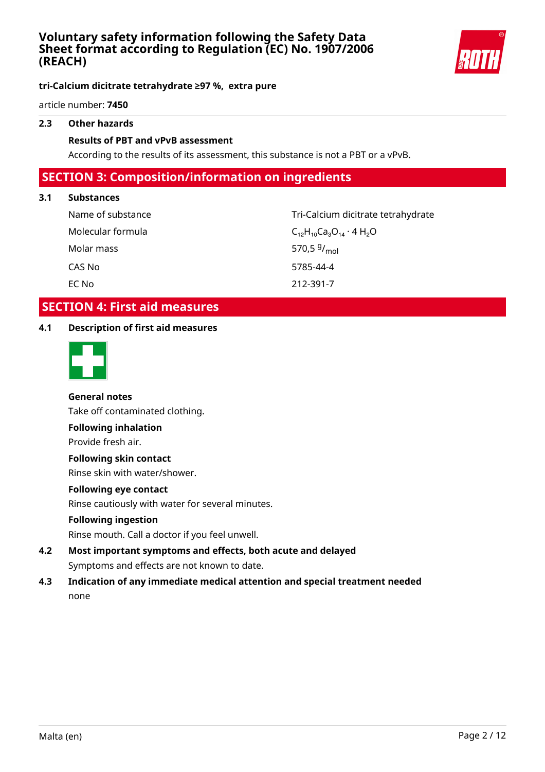

#### **tri-Calcium dicitrate tetrahydrate ≥97 %, extra pure**

article number: **7450**

#### **2.3 Other hazards**

#### **Results of PBT and vPvB assessment**

According to the results of its assessment, this substance is not a PBT or a vPvB.

# **SECTION 3: Composition/information on ingredients**

#### **3.1 Substances**

Molecular formula  $C_{12}H_{10}C_{a_3}O_{14} \cdot 4H_2O$ Molar mass CAS No 5785-44-4 EC No 212-391-7

Name of substance Tri-Calcium dicitrate tetrahydrate 570.5  $9/_{mol}$ 

# **SECTION 4: First aid measures**

#### **4.1 Description of first aid measures**



#### **General notes**

Take off contaminated clothing.

#### **Following inhalation**

Provide fresh air.

#### **Following skin contact**

Rinse skin with water/shower.

#### **Following eye contact**

Rinse cautiously with water for several minutes.

#### **Following ingestion**

Rinse mouth. Call a doctor if you feel unwell.

- **4.2 Most important symptoms and effects, both acute and delayed** Symptoms and effects are not known to date.
- **4.3 Indication of any immediate medical attention and special treatment needed** none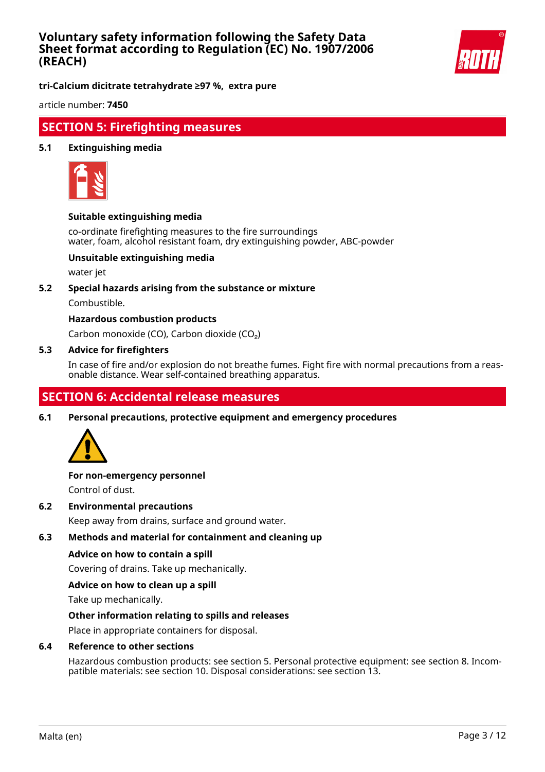

**tri-Calcium dicitrate tetrahydrate ≥97 %, extra pure**

article number: **7450**

# **SECTION 5: Firefighting measures**

#### **5.1 Extinguishing media**



#### **Suitable extinguishing media**

co-ordinate firefighting measures to the fire surroundings water, foam, alcohol resistant foam, dry extinguishing powder, ABC-powder

#### **Unsuitable extinguishing media**

water jet

#### **5.2 Special hazards arising from the substance or mixture**

Combustible.

#### **Hazardous combustion products**

Carbon monoxide (CO), Carbon dioxide (CO₂)

#### **5.3 Advice for firefighters**

In case of fire and/or explosion do not breathe fumes. Fight fire with normal precautions from a reasonable distance. Wear self-contained breathing apparatus.

# **SECTION 6: Accidental release measures**

**6.1 Personal precautions, protective equipment and emergency procedures**



# **For non-emergency personnel**

Control of dust.

**6.2 Environmental precautions**

Keep away from drains, surface and ground water.

#### **6.3 Methods and material for containment and cleaning up**

#### **Advice on how to contain a spill**

Covering of drains. Take up mechanically.

#### **Advice on how to clean up a spill**

Take up mechanically.

#### **Other information relating to spills and releases**

Place in appropriate containers for disposal.

#### **6.4 Reference to other sections**

Hazardous combustion products: see section 5. Personal protective equipment: see section 8. Incompatible materials: see section 10. Disposal considerations: see section 13.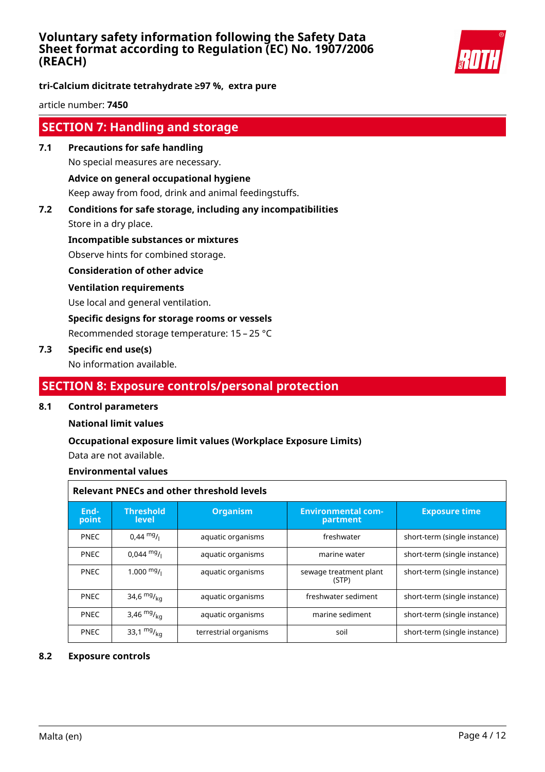

**tri-Calcium dicitrate tetrahydrate ≥97 %, extra pure**

article number: **7450**

# **SECTION 7: Handling and storage**

**7.1 Precautions for safe handling** No special measures are necessary. **Advice on general occupational hygiene**

Keep away from food, drink and animal feedingstuffs.

**7.2 Conditions for safe storage, including any incompatibilities**

Store in a dry place.

**Incompatible substances or mixtures**

Observe hints for combined storage.

**Consideration of other advice**

#### **Ventilation requirements**

Use local and general ventilation.

**Specific designs for storage rooms or vessels**

Recommended storage temperature: 15 – 25 °C

#### **7.3 Specific end use(s)**

No information available.

# **SECTION 8: Exposure controls/personal protection**

#### **8.1 Control parameters**

#### **National limit values**

#### **Occupational exposure limit values (Workplace Exposure Limits)**

Data are not available.

#### **Environmental values**

|               | <b>Relevant PNECs and other threshold levels</b> |                       |                                       |                              |  |
|---------------|--------------------------------------------------|-----------------------|---------------------------------------|------------------------------|--|
| End-<br>point | <b>Threshold</b><br>level                        | <b>Organism</b>       | <b>Environmental com-</b><br>partment | <b>Exposure time</b>         |  |
| <b>PNEC</b>   | $0.44 \text{ mg}$ /                              | aquatic organisms     | freshwater                            | short-term (single instance) |  |
| <b>PNEC</b>   | $0.044 \text{ mg}$ /                             | aquatic organisms     | marine water                          | short-term (single instance) |  |
| <b>PNEC</b>   | $1.000$ mg/                                      | aquatic organisms     | sewage treatment plant<br>(STP)       | short-term (single instance) |  |
| <b>PNEC</b>   | 34,6 $mg/kq$                                     | aquatic organisms     | freshwater sediment                   | short-term (single instance) |  |
| <b>PNEC</b>   | 3,46 $mg/kq$                                     | aquatic organisms     | marine sediment                       | short-term (single instance) |  |
| <b>PNEC</b>   | 33,1 $mg/_{ka}$                                  | terrestrial organisms | soil                                  | short-term (single instance) |  |

#### **8.2 Exposure controls**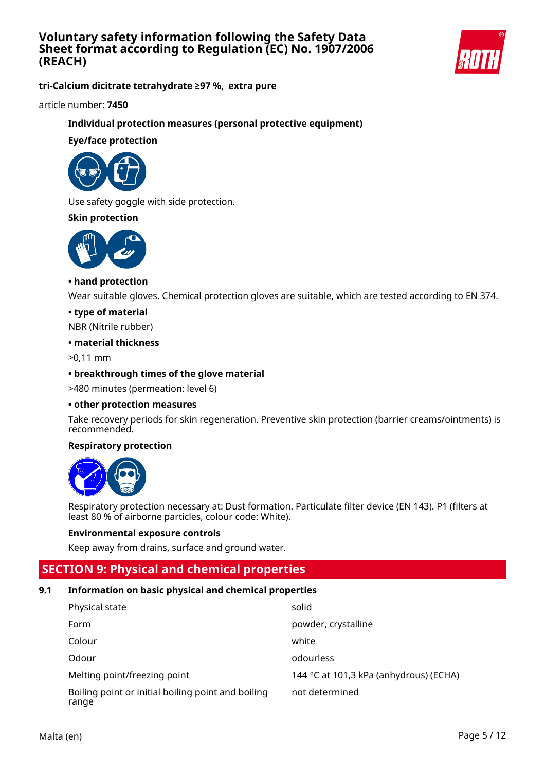

**tri-Calcium dicitrate tetrahydrate ≥97 %, extra pure**

article number: **7450**

#### **Individual protection measures (personal protective equipment)**

#### **Eye/face protection**



Use safety goggle with side protection.

#### **Skin protection**



#### **• hand protection**

Wear suitable gloves. Chemical protection gloves are suitable, which are tested according to EN 374.

#### **• type of material**

NBR (Nitrile rubber)

#### **• material thickness**

>0,11 mm

#### **• breakthrough times of the glove material**

>480 minutes (permeation: level 6)

#### **• other protection measures**

Take recovery periods for skin regeneration. Preventive skin protection (barrier creams/ointments) is recommended.

#### **Respiratory protection**



Respiratory protection necessary at: Dust formation. Particulate filter device (EN 143). P1 (filters at least 80 % of airborne particles, colour code: White).

#### **Environmental exposure controls**

Keep away from drains, surface and ground water.

# **SECTION 9: Physical and chemical properties**

#### **9.1 Information on basic physical and chemical properties**

| Physical state                                              | solid                                  |
|-------------------------------------------------------------|----------------------------------------|
| Form                                                        | powder, crystalline                    |
| Colour                                                      | white                                  |
| Odour                                                       | odourless                              |
| Melting point/freezing point                                | 144 °C at 101,3 kPa (anhydrous) (ECHA) |
| Boiling point or initial boiling point and boiling<br>range | not determined                         |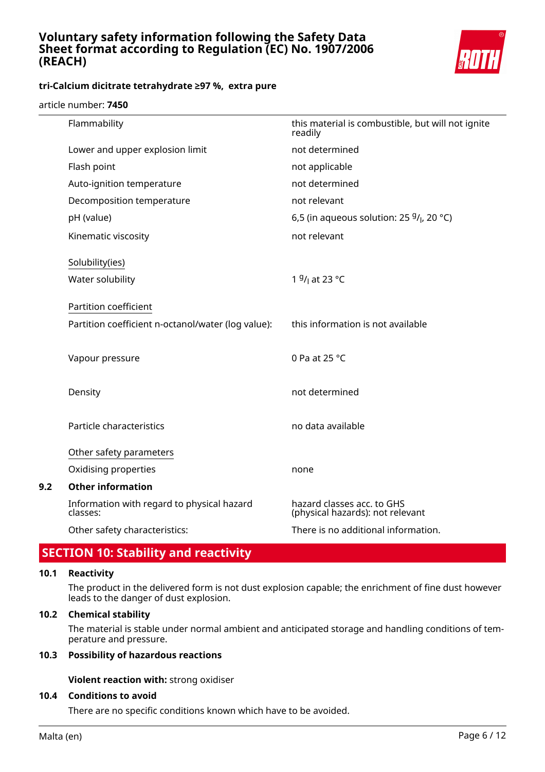

#### article number: **7450**

|     | Flammability                                           | this material is combustible, but will not ignite<br>readily   |
|-----|--------------------------------------------------------|----------------------------------------------------------------|
|     | Lower and upper explosion limit                        | not determined                                                 |
|     | Flash point                                            | not applicable                                                 |
|     | Auto-ignition temperature                              | not determined                                                 |
|     | Decomposition temperature                              | not relevant                                                   |
|     | pH (value)                                             | 6,5 (in aqueous solution: 25 $9/$ , 20 °C)                     |
|     | Kinematic viscosity                                    | not relevant                                                   |
|     | Solubility(ies)                                        |                                                                |
|     | Water solubility                                       | 1 <sup>g</sup> / <sub>l</sub> at 23 °C                         |
|     | Partition coefficient                                  |                                                                |
|     | Partition coefficient n-octanol/water (log value):     | this information is not available                              |
|     | Vapour pressure                                        | 0 Pa at 25 °C                                                  |
|     | Density                                                | not determined                                                 |
|     | Particle characteristics                               | no data available                                              |
|     | Other safety parameters                                |                                                                |
|     | Oxidising properties                                   | none                                                           |
| 9.2 | <b>Other information</b>                               |                                                                |
|     | Information with regard to physical hazard<br>classes: | hazard classes acc. to GHS<br>(physical hazards): not relevant |
|     | Other safety characteristics:                          | There is no additional information.                            |
|     |                                                        |                                                                |

# **SECTION 10: Stability and reactivity**

#### **10.1 Reactivity**

The product in the delivered form is not dust explosion capable; the enrichment of fine dust however leads to the danger of dust explosion.

#### **10.2 Chemical stability**

The material is stable under normal ambient and anticipated storage and handling conditions of temperature and pressure.

#### **10.3 Possibility of hazardous reactions**

**Violent reaction with:** strong oxidiser

#### **10.4 Conditions to avoid**

There are no specific conditions known which have to be avoided.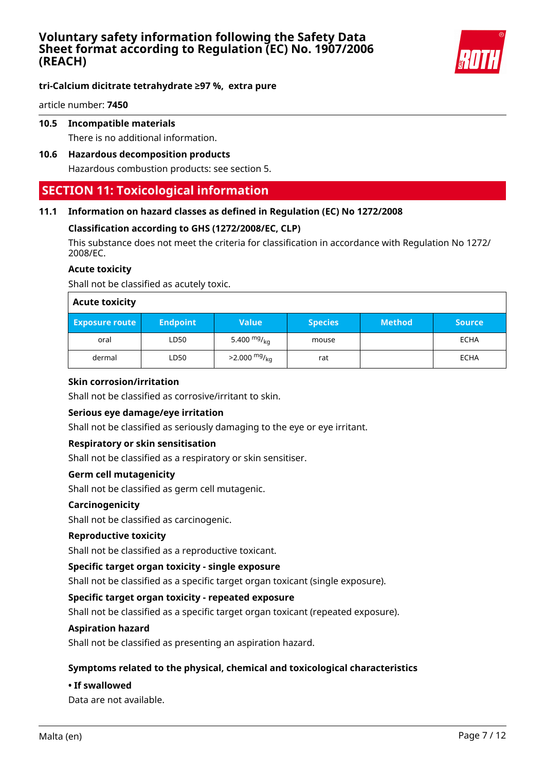

article number: **7450**

#### **10.5 Incompatible materials**

There is no additional information.

#### **10.6 Hazardous decomposition products**

Hazardous combustion products: see section 5.

# **SECTION 11: Toxicological information**

#### **11.1 Information on hazard classes as defined in Regulation (EC) No 1272/2008**

#### **Classification according to GHS (1272/2008/EC, CLP)**

This substance does not meet the criteria for classification in accordance with Regulation No 1272/ 2008/EC.

#### **Acute toxicity**

Shall not be classified as acutely toxic.

| <b>Acute toxicity</b> |                 |                        |                |               |             |
|-----------------------|-----------------|------------------------|----------------|---------------|-------------|
| <b>Exposure route</b> | <b>Endpoint</b> | <b>Value</b>           | <b>Species</b> | <b>Method</b> | Source      |
| oral                  | LD50            | 5.400 $mg/kq$          | mouse          |               | <b>ECHA</b> |
| dermal                | LD50            | $>2.000 \frac{mg}{kg}$ | rat            |               | <b>ECHA</b> |

#### **Skin corrosion/irritation**

Shall not be classified as corrosive/irritant to skin.

#### **Serious eye damage/eye irritation**

Shall not be classified as seriously damaging to the eye or eye irritant.

#### **Respiratory or skin sensitisation**

Shall not be classified as a respiratory or skin sensitiser.

#### **Germ cell mutagenicity**

Shall not be classified as germ cell mutagenic.

#### **Carcinogenicity**

Shall not be classified as carcinogenic.

#### **Reproductive toxicity**

Shall not be classified as a reproductive toxicant.

#### **Specific target organ toxicity - single exposure**

Shall not be classified as a specific target organ toxicant (single exposure).

#### **Specific target organ toxicity - repeated exposure**

Shall not be classified as a specific target organ toxicant (repeated exposure).

#### **Aspiration hazard**

Shall not be classified as presenting an aspiration hazard.

#### **Symptoms related to the physical, chemical and toxicological characteristics**

#### **• If swallowed**

Data are not available.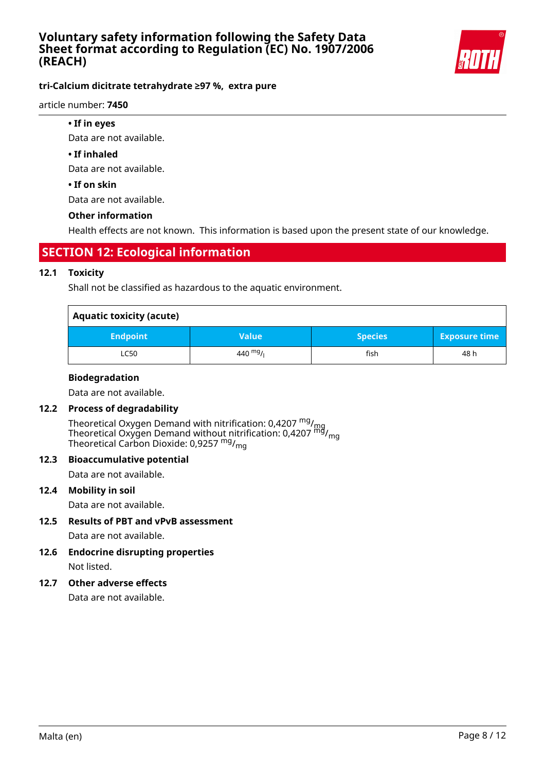

#### article number: **7450**

**• If in eyes**

Data are not available.

#### **• If inhaled**

Data are not available.

#### **• If on skin**

Data are not available.

#### **Other information**

Health effects are not known. This information is based upon the present state of our knowledge.

# **SECTION 12: Ecological information**

#### **12.1 Toxicity**

Shall not be classified as hazardous to the aquatic environment.

| <b>Aquatic toxicity (acute)</b> |              |                |                      |  |
|---------------------------------|--------------|----------------|----------------------|--|
| <b>Endpoint</b>                 | <b>Value</b> | <b>Species</b> | <b>Exposure time</b> |  |
| <b>LC50</b>                     | 440 $mg/$    | fish           | 48 h                 |  |

#### **Biodegradation**

Data are not available.

# **12.2 Process of degradability**

Theoretical Oxygen Demand with nitrification: 0,4207  $^{\mathsf{mg}}\prime_{\mathsf{mg}}$ Theoretical Oxygen Demand without nitrification: 0,4207 <sup>mg</sup>/<sub>mg</sub> Theoretical Carbon Dioxide: 0,9257  $mg/mq$ 

#### **12.3 Bioaccumulative potential**

Data are not available.

#### **12.4 Mobility in soil**

Data are not available.

**12.5 Results of PBT and vPvB assessment**

Data are not available.

**12.6 Endocrine disrupting properties** Not listed.

#### **12.7 Other adverse effects**

Data are not available.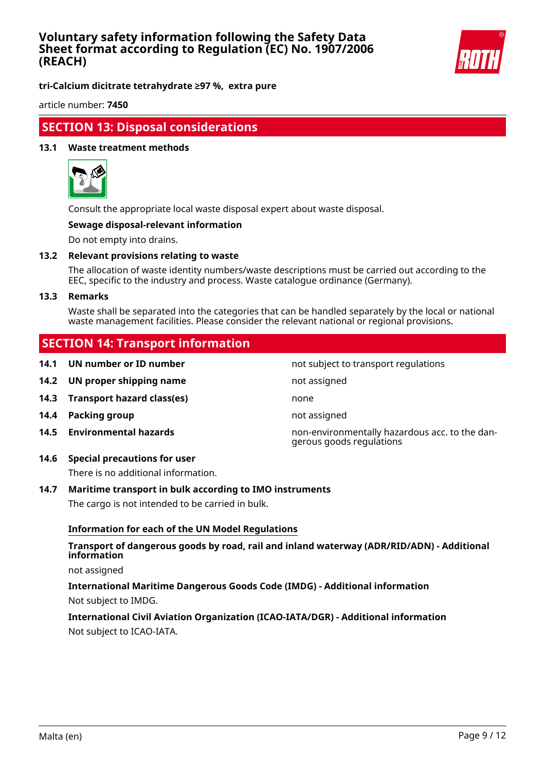

**tri-Calcium dicitrate tetrahydrate ≥97 %, extra pure**

article number: **7450**

# **SECTION 13: Disposal considerations**

#### **13.1 Waste treatment methods**



Consult the appropriate local waste disposal expert about waste disposal.

#### **Sewage disposal-relevant information**

Do not empty into drains.

#### **13.2 Relevant provisions relating to waste**

The allocation of waste identity numbers/waste descriptions must be carried out according to the EEC, specific to the industry and process. Waste catalogue ordinance (Germany).

#### **13.3 Remarks**

Waste shall be separated into the categories that can be handled separately by the local or national waste management facilities. Please consider the relevant national or regional provisions.

# **SECTION 14: Transport information**

**14.1 UN number or ID number not subject to transport regulations 14.2 UN proper shipping name** not assigned **14.3 Transport hazard class(es)** none **14.4 Packing group not assigned 14.5 Environmental hazards** non-environmentally hazardous acc. to the dangerous goods regulations

#### **14.6 Special precautions for user**

There is no additional information.

#### **14.7 Maritime transport in bulk according to IMO instruments**

The cargo is not intended to be carried in bulk.

#### **Information for each of the UN Model Regulations**

#### **Transport of dangerous goods by road, rail and inland waterway (ADR/RID/ADN) - Additional information**

not assigned

#### **International Maritime Dangerous Goods Code (IMDG) - Additional information** Not subject to IMDG.

### **International Civil Aviation Organization (ICAO-IATA/DGR) - Additional information** Not subject to ICAO-IATA.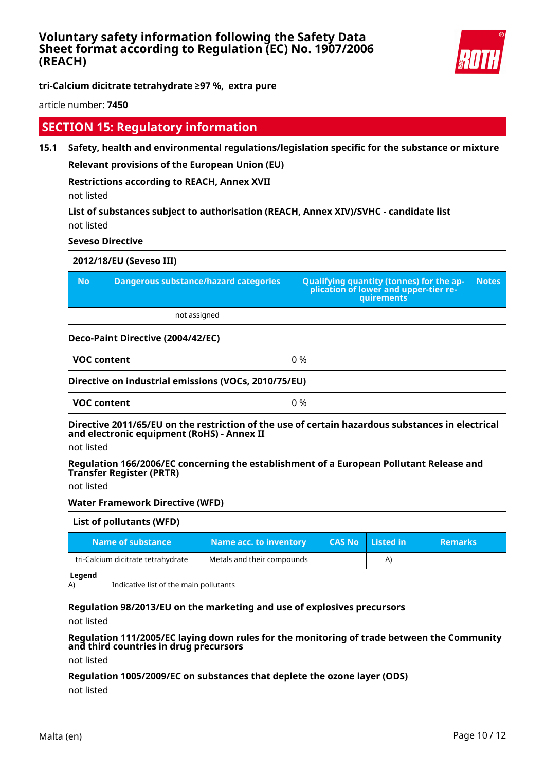

article number: **7450**

# **SECTION 15: Regulatory information**

**15.1 Safety, health and environmental regulations/legislation specific for the substance or mixture**

**Relevant provisions of the European Union (EU)**

**Restrictions according to REACH, Annex XVII**

not listed

**List of substances subject to authorisation (REACH, Annex XIV)/SVHC - candidate list** not listed

**Seveso Directive**

|           | 2012/18/EU (Seveso III)                      |                                                                                            |              |  |  |
|-----------|----------------------------------------------|--------------------------------------------------------------------------------------------|--------------|--|--|
| <b>No</b> | <b>Dangerous substance/hazard categories</b> | Qualifying quantity (tonnes) for the application of lower and upper-tier re-<br>quirements | <b>Notes</b> |  |  |
|           | not assigned                                 |                                                                                            |              |  |  |

#### **Deco-Paint Directive (2004/42/EC)**

| VOC content                                           | 0 % |
|-------------------------------------------------------|-----|
| Directive on industrial emissions (VOCs, 2010/75/511) |     |

#### **Directive on industrial emissions (VOCs, 2010/75/EU)**

| ้ voc เ<br>C content | %<br>╭<br>ີ |
|----------------------|-------------|
|----------------------|-------------|

**Directive 2011/65/EU on the restriction of the use of certain hazardous substances in electrical and electronic equipment (RoHS) - Annex II**

not listed

**Regulation 166/2006/EC concerning the establishment of a European Pollutant Release and Transfer Register (PRTR)**

not listed

#### **Water Framework Directive (WFD)**

# **List of pollutants (WFD)**

| Name of substance                  | Name acc. to inventory     | ' CAS No   Listed in ˈ | <b>Remarks</b> ا |
|------------------------------------|----------------------------|------------------------|------------------|
| tri-Calcium dicitrate tetrahydrate | Metals and their compounds | $\mathsf{A}$           |                  |

**Legend**

A) Indicative list of the main pollutants

#### **Regulation 98/2013/EU on the marketing and use of explosives precursors**

not listed

#### **Regulation 111/2005/EC laying down rules for the monitoring of trade between the Community and third countries in drug precursors**

not listed

#### **Regulation 1005/2009/EC on substances that deplete the ozone layer (ODS)**

not listed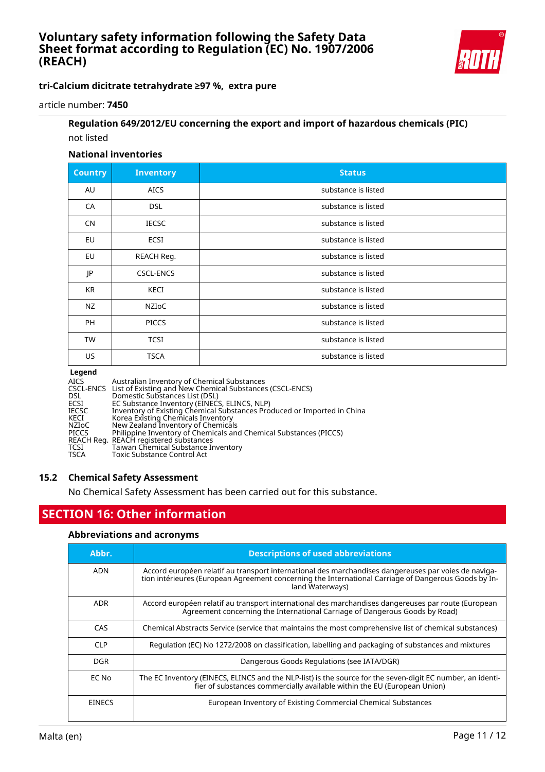

**tri-Calcium dicitrate tetrahydrate ≥97 %, extra pure**

article number: **7450**

# **Regulation 649/2012/EU concerning the export and import of hazardous chemicals (PIC)** not listed

#### **National inventories**

| <b>Country</b> | <b>Inventory</b> | <b>Status</b>       |
|----------------|------------------|---------------------|
| AU             | <b>AICS</b>      | substance is listed |
| CA             | <b>DSL</b>       | substance is listed |
| <b>CN</b>      | <b>IECSC</b>     | substance is listed |
| EU             | ECSI             | substance is listed |
| <b>EU</b>      | REACH Reg.       | substance is listed |
| JP             | <b>CSCL-ENCS</b> | substance is listed |
| KR             | KECI             | substance is listed |
| <b>NZ</b>      | NZIOC            | substance is listed |
| PH             | <b>PICCS</b>     | substance is listed |
| <b>TW</b>      | <b>TCSI</b>      | substance is listed |
| US.            | <b>TSCA</b>      | substance is listed |

#### **Legend**

| <b>AICS</b>  | Australian Inventory of Chemical Substances                             |
|--------------|-------------------------------------------------------------------------|
|              | CSCL-ENCS List of Existing and New Chemical Substances (CSCL-ENCS)      |
| <b>DSL</b>   | Domestic Substances List (DSL)                                          |
| ECSI         | EC Substance Inventory (EINECS, ELINCS, NLP)                            |
| <b>IECSC</b> | Inventory of Existing Chemical Substances Produced or Imported in China |
| KECI         | Korea Existing Chemicals Inventory                                      |
| NZIoC        | New Zealand Inventory of Chemicals                                      |
| <b>PICCS</b> | Philippine Inventory of Chemicals and Chemical Substances (PICCS)       |
|              | REACH Reg. REACH registered substances                                  |
| TCSI         | Taiwan Chemical Substance Inventory                                     |
| <b>TSCA</b>  | <b>Toxic Substance Control Act</b>                                      |
|              |                                                                         |

#### **15.2 Chemical Safety Assessment**

No Chemical Safety Assessment has been carried out for this substance.

# **SECTION 16: Other information**

#### **Abbreviations and acronyms**

| Abbr.         | <b>Descriptions of used abbreviations</b>                                                                                                                                                                                       |
|---------------|---------------------------------------------------------------------------------------------------------------------------------------------------------------------------------------------------------------------------------|
| ADN           | Accord européen relatif au transport international des marchandises dangereuses par voies de naviga-<br>tion intérieures (European Agreement concerning the International Carriage of Dangerous Goods by In-<br>land Waterways) |
| <b>ADR</b>    | Accord européen relatif au transport international des marchandises dangereuses par route (European<br>Agreement concerning the International Carriage of Dangerous Goods by Road)                                              |
| CAS.          | Chemical Abstracts Service (service that maintains the most comprehensive list of chemical substances)                                                                                                                          |
| <b>CLP</b>    | Regulation (EC) No 1272/2008 on classification, labelling and packaging of substances and mixtures                                                                                                                              |
| DGR.          | Dangerous Goods Regulations (see IATA/DGR)                                                                                                                                                                                      |
| EC No         | The EC Inventory (EINECS, ELINCS and the NLP-list) is the source for the seven-digit EC number, an identi-<br>fier of substances commercially available within the EU (European Union)                                          |
| <b>EINECS</b> | European Inventory of Existing Commercial Chemical Substances                                                                                                                                                                   |